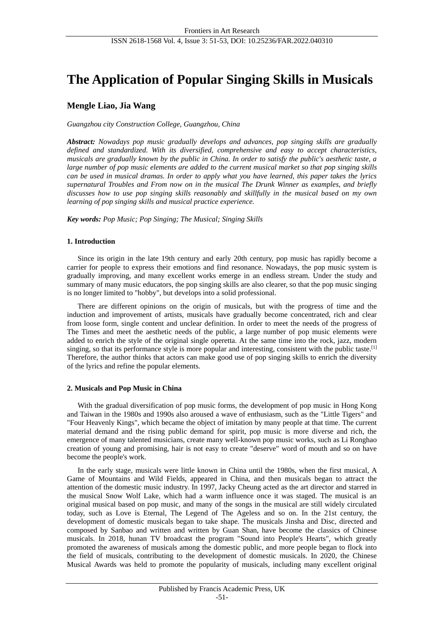# **The Application of Popular Singing Skills in Musicals**

# **Mengle Liao, Jia Wang**

*Guangzhou city Construction College, Guangzhou, China*

*Abstract: Nowadays pop music gradually develops and advances, pop singing skills are gradually defined and standardized. With its diversified, comprehensive and easy to accept characteristics, musicals are gradually known by the public in China. In order to satisfy the public's aesthetic taste, a large number of pop music elements are added to the current musical market so that pop singing skills can be used in musical dramas. In order to apply what you have learned, this paper takes the lyrics supernatural Troubles and From now on in the musical The Drunk Winner as examples, and briefly discusses how to use pop singing skills reasonably and skillfully in the musical based on my own learning of pop singing skills and musical practice experience.*

*Key words: Pop Music; Pop Singing; The Musical; Singing Skills*

# **1. Introduction**

Since its origin in the late 19th century and early 20th century, pop music has rapidly become a carrier for people to express their emotions and find resonance. Nowadays, the pop music system is gradually improving, and many excellent works emerge in an endless stream. Under the study and summary of many music educators, the pop singing skills are also clearer, so that the pop music singing is no longer limited to "hobby", but develops into a solid professional.

There are different opinions on the origin of musicals, but with the progress of time and the induction and improvement of artists, musicals have gradually become concentrated, rich and clear from loose form, single content and unclear definition. In order to meet the needs of the progress of The Times and meet the aesthetic needs of the public, a large number of pop music elements were added to enrich the style of the original single operetta. At the same time into the rock, jazz, modern singing, so that its performance style is more popular and interesting, consistent with the public taste.<sup>[1]</sup> Therefore, the author thinks that actors can make good use of pop singing skills to enrich the diversity of the lyrics and refine the popular elements.

# **2. Musicals and Pop Music in China**

With the gradual diversification of pop music forms, the development of pop music in Hong Kong and Taiwan in the 1980s and 1990s also aroused a wave of enthusiasm, such as the "Little Tigers" and "Four Heavenly Kings", which became the object of imitation by many people at that time. The current material demand and the rising public demand for spirit, pop music is more diverse and rich, the emergence of many talented musicians, create many well-known pop music works, such as Li Ronghao creation of young and promising, hair is not easy to create "deserve" word of mouth and so on have become the people's work.

In the early stage, musicals were little known in China until the 1980s, when the first musical, A Game of Mountains and Wild Fields, appeared in China, and then musicals began to attract the attention of the domestic music industry. In 1997, Jacky Cheung acted as the art director and starred in the musical Snow Wolf Lake, which had a warm influence once it was staged. The musical is an original musical based on pop music, and many of the songs in the musical are still widely circulated today, such as Love is Eternal, The Legend of The Ageless and so on. In the 21st century, the development of domestic musicals began to take shape. The musicals Jinsha and Disc, directed and composed by Sanbao and written and written by Guan Shan, have become the classics of Chinese musicals. In 2018, hunan TV broadcast the program "Sound into People's Hearts", which greatly promoted the awareness of musicals among the domestic public, and more people began to flock into the field of musicals, contributing to the development of domestic musicals. In 2020, the Chinese Musical Awards was held to promote the popularity of musicals, including many excellent original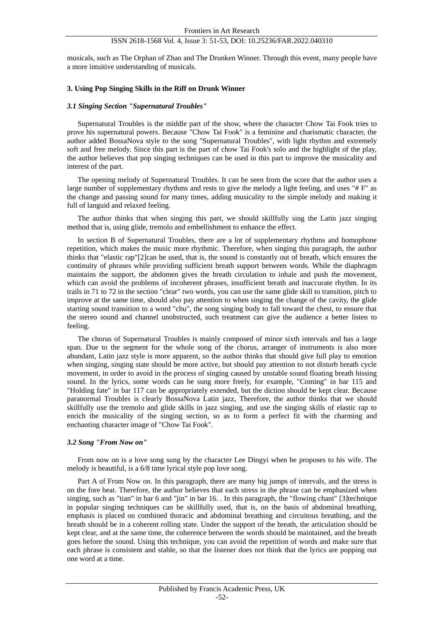# ISSN 2618-1568 Vol. 4, Issue 3: 51-53, DOI: 10.25236/FAR.2022.040310

musicals, such as The Orphan of Zhao and The Drunken Winner. Through this event, many people have a more intuitive understanding of musicals.

### **3. Using Pop Singing Skills in the Riff on Drunk Winner**

#### *3.1 Singing Section "Supernatural Troubles"*

Supernatural Troubles is the middle part of the show, where the character Chow Tai Fook tries to prove his supernatural powers. Because "Chow Tai Fook" is a feminine and charismatic character, the author added BossaNova style to the song "Supernatural Troubles", with light rhythm and extremely soft and free melody. Since this part is the part of chow Tai Fook's solo and the highlight of the play, the author believes that pop singing techniques can be used in this part to improve the musicality and interest of the part.

The opening melody of Supernatural Troubles. It can be seen from the score that the author uses a large number of supplementary rhythms and rests to give the melody a light feeling, and uses "# F" as the change and passing sound for many times, adding musicality to the simple melody and making it full of languid and relaxed feeling.

The author thinks that when singing this part, we should skillfully sing the Latin jazz singing method that is, using glide, tremolo and embellishment to enhance the effect.

In section B of Supernatural Troubles, there are a lot of supplementary rhythms and homophone repetition, which makes the music more rhythmic. Therefore, when singing this paragraph, the author thinks that "elastic rap"[2]can be used, that is, the sound is constantly out of breath, which ensures the continuity of phrases while providing sufficient breath support between words. While the diaphragm maintains the support, the abdomen gives the breath circulation to inhale and push the movement, which can avoid the problems of incoherent phrases, insufficient breath and inaccurate rhythm. In its trails in 71 to 72 in the section "clear" two words, you can use the same glide skill to transition, pitch to improve at the same time, should also pay attention to when singing the change of the cavity, the glide starting sound transition to a word "chu", the song singing body to fall toward the chest, to ensure that the stereo sound and channel unobstructed, such treatment can give the audience a better listen to feeling.

The chorus of Supernatural Troubles is mainly composed of minor sixth intervals and has a large span. Due to the segment for the whole song of the chorus, arranger of instruments is also more abundant, Latin jazz style is more apparent, so the author thinks that should give full play to emotion when singing, singing state should be more active, but should pay attention to not disturb breath cycle movement, in order to avoid in the process of singing caused by unstable sound floating breath hissing sound. In the lyrics, some words can be sung more freely, for example, "Coming" in bar 115 and "Holding fate" in bar 117 can be appropriately extended, but the diction should be kept clear. Because paranormal Troubles is clearly BossaNova Latin jazz, Therefore, the author thinks that we should skillfully use the tremolo and glide skills in jazz singing, and use the singing skills of elastic rap to enrich the musicality of the singing section, so as to form a perfect fit with the charming and enchanting character image of "Chow Tai Fook".

#### *3.2 Song "From Now on"*

From now on is a love song sung by the character Lee Dingyi when he proposes to his wife. The melody is beautiful, is a 6/8 time lyrical style pop love song.

Part A of From Now on. In this paragraph, there are many big jumps of intervals, and the stress is on the fore beat. Therefore, the author believes that each stress in the phrase can be emphasized when singing, such as "tian" in bar 6 and "jin" in bar 16. . In this paragraph, the "flowing chant" [3]technique in popular singing techniques can be skillfully used, that is, on the basis of abdominal breathing, emphasis is placed on combined thoracic and abdominal breathing and circuitous breathing, and the breath should be in a coherent rolling state. Under the support of the breath, the articulation should be kept clear, and at the same time, the coherence between the words should be maintained, and the breath goes before the sound. Using this technique, you can avoid the repetition of words and make sure that each phrase is consistent and stable, so that the listener does not think that the lyrics are popping out one word at a time.